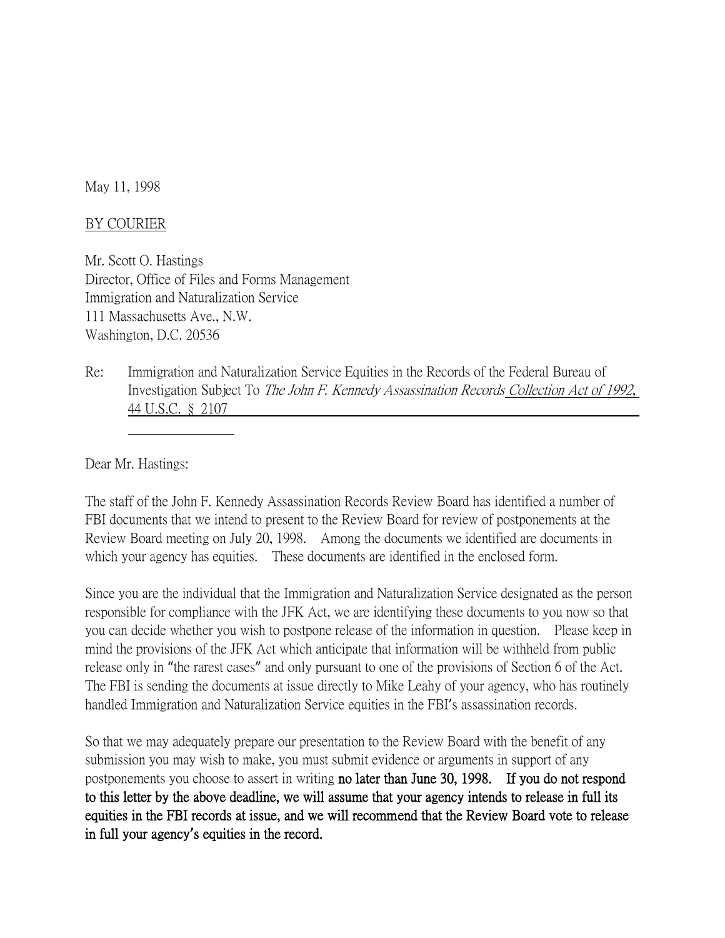May 11, 1998

## BY COURIER

Mr. Scott O. Hastings Director, Office of Files and Forms Management Immigration and Naturalization Service 111 Massachusetts Ave., N.W. Washington, D.C. 20536

Re: Immigration and Naturalization Service Equities in the Records of the Federal Bureau of Investigation Subject To The John F. Kennedy Assassination Records Collection Act of 1992, 44 U.S.C. § 2107

Dear Mr. Hastings:

The staff of the John F. Kennedy Assassination Records Review Board has identified a number of FBI documents that we intend to present to the Review Board for review of postponements at the Review Board meeting on July 20, 1998. Among the documents we identified are documents in which your agency has equities. These documents are identified in the enclosed form.

Since you are the individual that the Immigration and Naturalization Service designated as the person responsible for compliance with the JFK Act, we are identifying these documents to you now so that you can decide whether you wish to postpone release of the information in question. Please keep in mind the provisions of the JFK Act which anticipate that information will be withheld from public release only in "the rarest cases" and only pursuant to one of the provisions of Section 6 of the Act. The FBI is sending the documents at issue directly to Mike Leahy of your agency, who has routinely handled Immigration and Naturalization Service equities in the FBI's assassination records.

So that we may adequately prepare our presentation to the Review Board with the benefit of any submission you may wish to make, you must submit evidence or arguments in support of any postponements you choose to assert in writing no later than June 30, 1998. If you do not respond to this letter by the above deadline, we will assume that your agency intends to release in full its equities in the FBI records at issue, and we will recommend that the Review Board vote to release in full your agency**'**s equities in the record.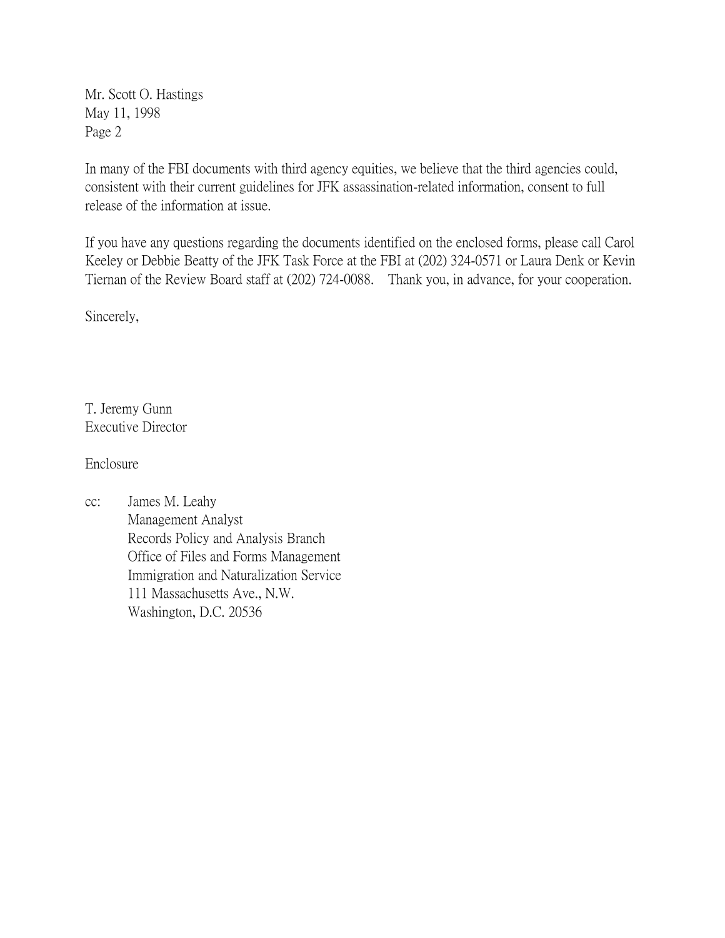Mr. Scott O. Hastings May 11, 1998 Page 2

In many of the FBI documents with third agency equities, we believe that the third agencies could, consistent with their current guidelines for JFK assassination-related information, consent to full release of the information at issue.

If you have any questions regarding the documents identified on the enclosed forms, please call Carol Keeley or Debbie Beatty of the JFK Task Force at the FBI at (202) 324-0571 or Laura Denk or Kevin Tiernan of the Review Board staff at (202) 724-0088. Thank you, in advance, for your cooperation.

Sincerely,

T. Jeremy Gunn Executive Director

Enclosure

cc: James M. Leahy Management Analyst Records Policy and Analysis Branch Office of Files and Forms Management Immigration and Naturalization Service 111 Massachusetts Ave., N.W. Washington, D.C. 20536